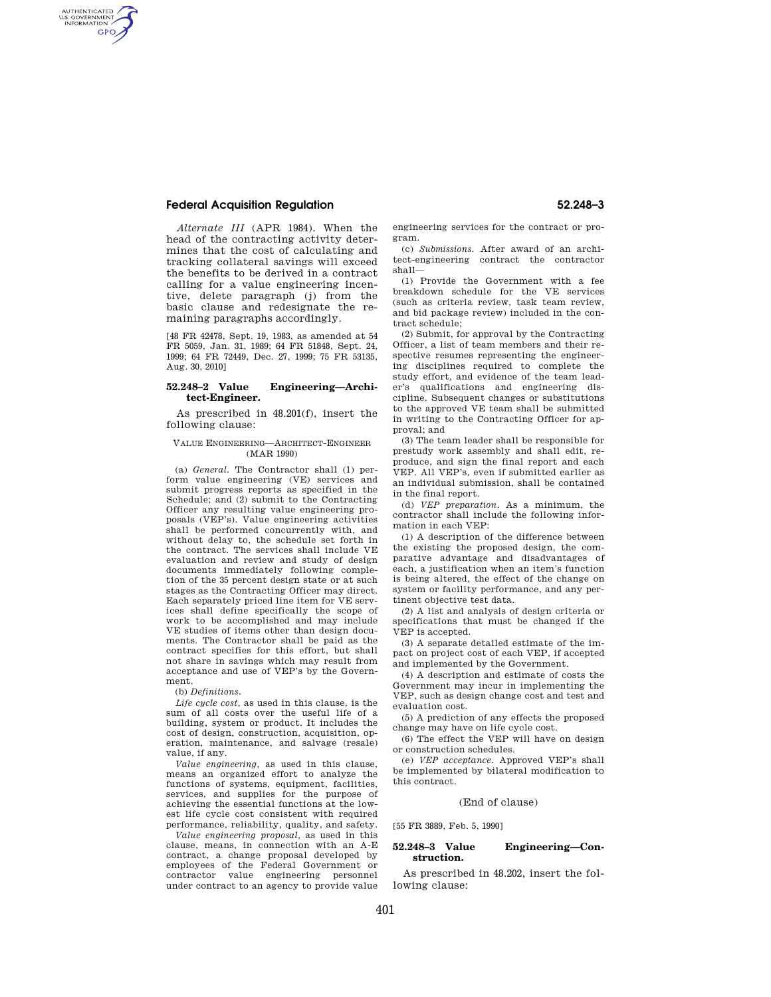# **Federal Acquisition Regulation 52.248–3**

AUTHENTICATED<br>U.S. GOVERNMENT<br>INFORMATION **GPO** 

> *Alternate III* (APR 1984). When the head of the contracting activity determines that the cost of calculating and tracking collateral savings will exceed the benefits to be derived in a contract calling for a value engineering incentive, delete paragraph (j) from the basic clause and redesignate the remaining paragraphs accordingly.

> [48 FR 42478, Sept. 19, 1983, as amended at 54 FR 5059, Jan. 31, 1989; 64 FR 51848, Sept. 24, 1999; 64 FR 72449, Dec. 27, 1999; 75 FR 53135, Aug. 30, 2010]

## **52.248–2 Value Engineering—Architect-Engineer.**

As prescribed in 48.201(f), insert the following clause:

#### VALUE ENGINEERING—ARCHITECT-ENGINEER (MAR 1990)

(a) *General.* The Contractor shall (1) perform value engineering (VE) services and submit progress reports as specified in the Schedule; and (2) submit to the Contracting Officer any resulting value engineering proposals (VEP's). Value engineering activities shall be performed concurrently with, and without delay to, the schedule set forth in the contract. The services shall include VE evaluation and review and study of design documents immediately following completion of the 35 percent design state or at such stages as the Contracting Officer may direct. Each separately priced line item for VE services shall define specifically the scope of work to be accomplished and may include VE studies of items other than design documents. The Contractor shall be paid as the contract specifies for this effort, but shall not share in savings which may result from acceptance and use of VEP's by the Government.

#### (b) *Definitions.*

*Life cycle cost,* as used in this clause, is the sum of all costs over the useful life of a building, system or product. It includes the cost of design, construction, acquisition, operation, maintenance, and salvage (resale) value, if any.

*Value engineering,* as used in this clause, means an organized effort to analyze the functions of systems, equipment, facilities, services, and supplies for the purpose of achieving the essential functions at the lowest life cycle cost consistent with required performance, reliability, quality, and safety.

*Value engineering proposal,* as used in this clause, means, in connection with an A-E contract, a change proposal developed by employees of the Federal Government or contractor value engineering personnel under contract to an agency to provide value engineering services for the contract or program.

(c) *Submissions.* After award of an architect-engineering contract the contractor shall—

(1) Provide the Government with a fee breakdown schedule for the VE services (such as criteria review, task team review, and bid package review) included in the contract schedule;

(2) Submit, for approval by the Contracting Officer, a list of team members and their respective resumes representing the engineering disciplines required to complete the study effort, and evidence of the team leader's qualifications and engineering discipline. Subsequent changes or substitutions to the approved VE team shall be submitted in writing to the Contracting Officer for approval; and

(3) The team leader shall be responsible for prestudy work assembly and shall edit, reproduce, and sign the final report and each VEP. All VEP's, even if submitted earlier as an individual submission, shall be contained in the final report.

(d) *VEP preparation.* As a minimum, the contractor shall include the following information in each VEP:

(1) A description of the difference between the existing the proposed design, the comparative advantage and disadvantages of each, a justification when an item's function is being altered, the effect of the change on system or facility performance, and any pertinent objective test data.

(2) A list and analysis of design criteria or specifications that must be changed if the VEP is accepted.

(3) A separate detailed estimate of the impact on project cost of each VEP, if accepted and implemented by the Government.

(4) A description and estimate of costs the Government may incur in implementing the VEP, such as design change cost and test and evaluation cost.

(5) A prediction of any effects the proposed change may have on life cycle cost.

(6) The effect the VEP will have on design or construction schedules.

(e) *VEP acceptance.* Approved VEP's shall be implemented by bilateral modification to this contract.

#### (End of clause)

[55 FR 3889, Feb. 5, 1990]

### **52.248–3 Value Engineering—Construction.**

As prescribed in 48.202, insert the following clause: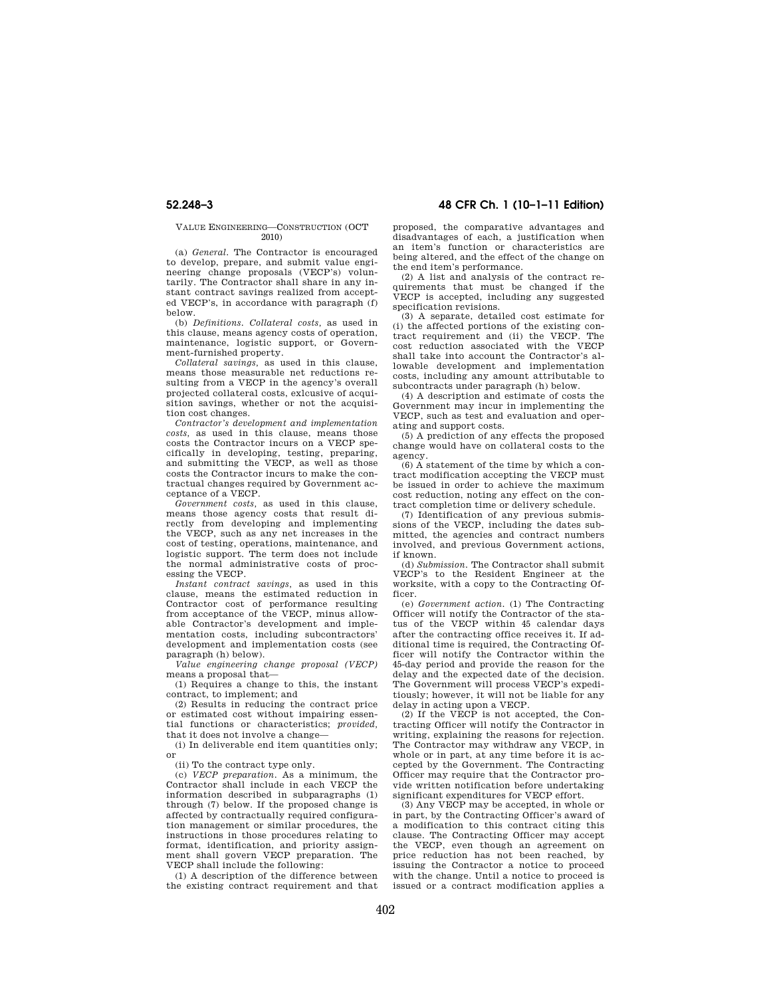#### VALUE ENGINEERING—CONSTRUCTION (OCT 2010)

(a) *General.* The Contractor is encouraged to develop, prepare, and submit value engineering change proposals (VECP's) voluntarily. The Contractor shall share in any instant contract savings realized from accepted VECP's, in accordance with paragraph (f) below.

(b) *Definitions. Collateral costs,* as used in this clause, means agency costs of operation, maintenance, logistic support, or Government-furnished property.

*Collateral savings,* as used in this clause, means those measurable net reductions resulting from a VECP in the agency's overall projected collateral costs, exlcusive of acquisition savings, whether or not the acquisition cost changes.

*Contractor's development and implementation costs,* as used in this clause, means those costs the Contractor incurs on a VECP specifically in developing, testing, preparing, and submitting the VECP, as well as those costs the Contractor incurs to make the contractual changes required by Government acceptance of a VECP.

*Government costs,* as used in this clause, means those agency costs that result directly from developing and implementing the VECP, such as any net increases in the cost of testing, operations, maintenance, and logistic support. The term does not include the normal administrative costs of processing the VECP.

*Instant contract savings,* as used in this clause, means the estimated reduction in Contractor cost of performance resulting from acceptance of the VECP, minus allowable Contractor's development and implementation costs, including subcontractors' development and implementation costs (see paragraph (h) below).

*Value engineering change proposal (VECP)*  means a proposal that—

(1) Requires a change to this, the instant contract, to implement; and

(2) Results in reducing the contract price or estimated cost without impairing essential functions or characteristics; *provided,*  that it does not involve a change—

(i) In deliverable end item quantities only; or

(ii) To the contract type only.

(c) *VECP preparation.* As a minimum, the Contractor shall include in each VECP the information described in subparagraphs (1) through (7) below. If the proposed change is affected by contractually required configuration management or similar procedures, the instructions in those procedures relating to format, identification, and priority assignment shall govern VECP preparation. The VECP shall include the following:

(1) A description of the difference between the existing contract requirement and that

**52.248–3 48 CFR Ch. 1 (10–1–11 Edition)** 

proposed, the comparative advantages and disadvantages of each, a justification when an item's function or characteristics are being altered, and the effect of the change on the end item's performance.

(2) A list and analysis of the contract requirements that must be changed if the VECP is accepted, including any suggested specification revisions.

(3) A separate, detailed cost estimate for (i) the affected portions of the existing con-<br>tract requirement and (ii) the VECP. The tract requirement and (ii) the VECP. cost reduction associated with the VECP shall take into account the Contractor's allowable development and implementation costs, including any amount attributable to subcontracts under paragraph (h) below.

(4) A description and estimate of costs the Government may incur in implementing the VECP, such as test and evaluation and operating and support costs.

(5) A prediction of any effects the proposed change would have on collateral costs to the agency.

(6) A statement of the time by which a contract modification accepting the VECP must be issued in order to achieve the maximum cost reduction, noting any effect on the contract completion time or delivery schedule.

(7) Identification of any previous submissions of the VECP, including the dates submitted, the agencies and contract numbers involved, and previous Government actions, if known.

(d) *Submission.* The Contractor shall submit VECP's to the Resident Engineer at the worksite, with a copy to the Contracting Officer.

(e) *Government action.* (1) The Contracting Officer will notify the Contractor of the status of the VECP within 45 calendar days after the contracting office receives it. If additional time is required, the Contracting Officer will notify the Contractor within the 45-day period and provide the reason for the delay and the expected date of the decision. The Government will process VECP's expeditiously; however, it will not be liable for any delay in acting upon a VECP.

 $(2)$  If the VECP is not accepted, the Contracting Officer will notify the Contractor in writing, explaining the reasons for rejection. The Contractor may withdraw any VECP, in whole or in part, at any time before it is accepted by the Government. The Contracting Officer may require that the Contractor provide written notification before undertaking significant expenditures for VECP effort.

(3) Any VECP may be accepted, in whole or in part, by the Contracting Officer's award of a modification to this contract citing this clause. The Contracting Officer may accept the VECP, even though an agreement on price reduction has not been reached, by issuing the Contractor a notice to proceed with the change. Until a notice to proceed is issued or a contract modification applies a